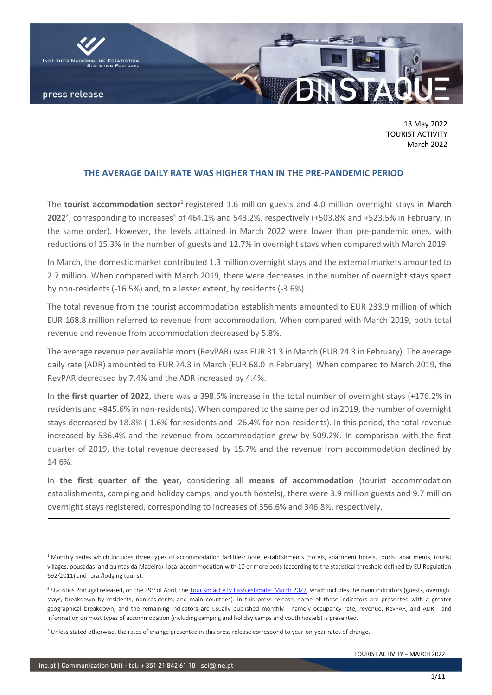

13 May 2022 TOURIST ACTIVITY March 2022

### **THE AVERAGE DAILY RATE WAS HIGHER THAN IN THE PRE-PANDEMIC PERIOD**

The tourist accommodation sector<sup>1</sup> registered 1.6 million guests and 4.0 million overnight stays in March **2022**<sup>2</sup>, corresponding to increases<sup>3</sup> of 464.1% and 543.2%, respectively (+503.8% and +523.5% in February, in the same order). However, the levels attained in March 2022 were lower than pre-pandemic ones, with reductions of 15.3% in the number of guests and 12.7% in overnight stays when compared with March 2019.

In March, the domestic market contributed 1.3 million overnight stays and the external markets amounted to 2.7 million. When compared with March 2019, there were decreases in the number of overnight stays spent by non-residents (-16.5%) and, to a lesser extent, by residents (-3.6%).

The total revenue from the tourist accommodation establishments amounted to EUR 233.9 million of which EUR 168.8 million referred to revenue from accommodation. When compared with March 2019, both total revenue and revenue from accommodation decreased by 5.8%.

The average revenue per available room (RevPAR) was EUR 31.3 in March (EUR 24.3 in February). The average daily rate (ADR) amounted to EUR 74.3 in March (EUR 68.0 in February). When compared to March 2019, the RevPAR decreased by 7.4% and the ADR increased by 4.4%.

In **the first quarter of 2022**, there was a 398.5% increase in the total number of overnight stays (+176.2% in residents and +845.6% in non-residents). When compared to the same period in 2019, the number of overnight stays decreased by 18.8% (-1.6% for residents and -26.4% for non-residents). In this period, the total revenue increased by 536.4% and the revenue from accommodation grew by 509.2%. In comparison with the first quarter of 2019, the total revenue decreased by 15.7% and the revenue from accommodation declined by 14.6%.

In **the first quarter of the year**, considering **all means of accommodation** (tourist accommodation establishments, camping and holiday camps, and youth hostels), there were 3.9 million guests and 9.7 million overnight stays registered, corresponding to increases of 356.6% and 346.8%, respectively.

<sup>&</sup>lt;sup>1</sup> Monthly series which includes three types of accommodation facilities: hotel establishments (hotels, apartment hotels, tourist apartments, tourist villages, pousadas, and quintas da Madeira), local accommodation with 10 or more beds (according to the statistical threshold defined by EU Regulation 692/2011) and rural/lodging tourist.

<sup>&</sup>lt;sup>2</sup> Statistics Portugal released, on the 29<sup>th</sup> of April, th[e Tourism activity flash estimate: March 2022,](https://www.ine.pt/xportal/xmain?xpid=INE&xpgid=ine_destaques&DESTAQUESdest_boui=536779836&DESTAQUEStema=5414335&DESTAQUESmodo=2) which includes the main indicators (guests, overnight stays, breakdown by residents, non-residents, and main countries). In this press release, some of these indicators are presented with a greater geographical breakdown, and the remaining indicators are usually published monthly - namely occupancy rate, revenue, RevPAR, and ADR - and information on most types of accommodation (including camping and holiday camps and youth hostels) is presented.

<sup>&</sup>lt;sup>3</sup> Unless stated otherwise, the rates of change presented in this press release correspond to year-on-year rates of change.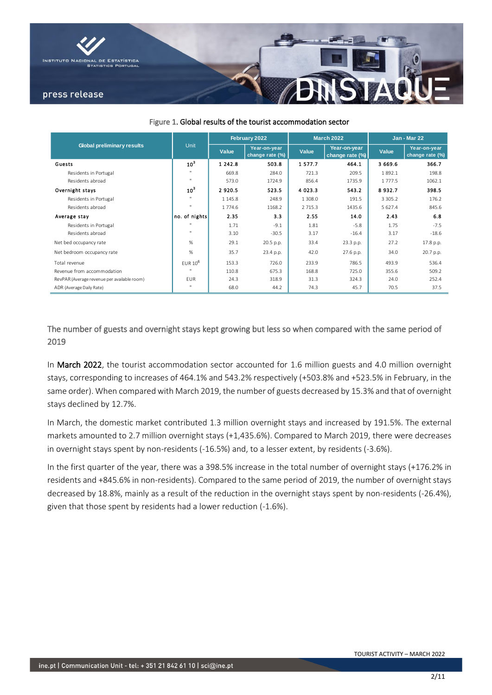

|                                             |                 |             | February 2022                   |             | <b>March 2022</b>               | <b>Jan - Mar 22</b> |                                 |  |
|---------------------------------------------|-----------------|-------------|---------------------------------|-------------|---------------------------------|---------------------|---------------------------------|--|
| <b>Global preliminary results</b>           | <b>Unit</b>     | Value       | Year-on-year<br>change rate (%) | Value       | Year-on-year<br>change rate (%) | Value               | Year-on-year<br>change rate (%) |  |
| Guests                                      | 10 <sup>3</sup> | 1 2 4 2 . 8 | 503.8                           | 1577.7      | 464.1                           | 3 669.6             | 366.7                           |  |
| Residents in Portugal                       | $\mathbf{H}$    | 669.8       | 284.0                           | 721.3       | 209.5                           | 1892.1              | 198.8                           |  |
| Residents abroad                            | $\mathbf{H}$    | 573.0       | 1724.9                          | 856.4       | 1735.9                          | 1 777.5             | 1062.1                          |  |
| Overnight stays                             | 10 <sup>3</sup> | 2920.5      | 523.5                           | 4 0 2 3 . 3 | 543.2                           | 8932.7              | 398.5                           |  |
| Residents in Portugal                       | $\mathbf{H}$    | 1 1 4 5 . 8 | 248.9                           | 1 308.0     | 191.5                           | 3 3 0 5 . 2         | 176.2                           |  |
| Residents abroad                            | $\mathbf{H}$    | 1 774.6     | 1168.2                          | 2 7 1 5 . 3 | 1435.6                          | 5 627.4             | 845.6                           |  |
| Average stay                                | no. of nights   | 2.35        | 3.3                             | 2.55        | 14.0                            | 2.43                | 6.8                             |  |
| Residents in Portugal                       | $\mathbf{u}$    | 1.71        | $-9.1$                          | 1.81        | $-5.8$                          | 1.75                | $-7.5$                          |  |
| Residents abroad                            | $\mathbf{H}$    | 3.10        | $-30.5$                         | 3.17        | $-16.4$                         | 3.17                | $-18.6$                         |  |
| Net bed occupancy rate                      | %               | 29.1        | 20.5 p.p.                       | 33.4        | 23.3 p.p.                       | 27.2                | 17.8 p.p.                       |  |
| Net bedroom occupancy rate                  | %               | 35.7        | 23.4 p.p.                       | 42.0        | 27.6 p.p.                       | 34.0                | 20.7 p.p.                       |  |
| Total revenue                               | $EUR 10^6$      | 153.3       | 726.0                           | 233.9       | 786.5                           | 493.9               | 536.4                           |  |
| Revenue from accommodation                  | $\mathbf{u}$    | 110.8       | 675.3                           | 168.8       | 725.0                           | 355.6               | 509.2                           |  |
| RevPAR (Average revenue per available room) | <b>EUR</b>      | 24.3        | 318.9                           | 31.3        | 324.3                           | 24.0                | 252.4                           |  |
| ADR (Average Daily Rate)                    | $\mathbf{H}$    | 68.0        | 44.2                            | 74.3        | 45.7                            | 70.5                | 37.5                            |  |

Figure 1. Global results of the tourist accommodation sector

The number of guests and overnight stays kept growing but less so when compared with the same period of 2019

In March 2022, the tourist accommodation sector accounted for 1.6 million guests and 4.0 million overnight stays, corresponding to increases of 464.1% and 543.2% respectively (+503.8% and +523.5% in February, in the same order). When compared with March 2019, the number of guests decreased by 15.3% and that of overnight stays declined by 12.7%.

In March, the domestic market contributed 1.3 million overnight stays and increased by 191.5%. The external markets amounted to 2.7 million overnight stays (+1,435.6%). Compared to March 2019, there were decreases in overnight stays spent by non-residents (-16.5%) and, to a lesser extent, by residents (-3.6%).

In the first quarter of the year, there was a 398.5% increase in the total number of overnight stays (+176.2% in residents and +845.6% in non-residents). Compared to the same period of 2019, the number of overnight stays decreased by 18.8%, mainly as a result of the reduction in the overnight stays spent by non-residents (-26.4%), given that those spent by residents had a lower reduction (-1.6%).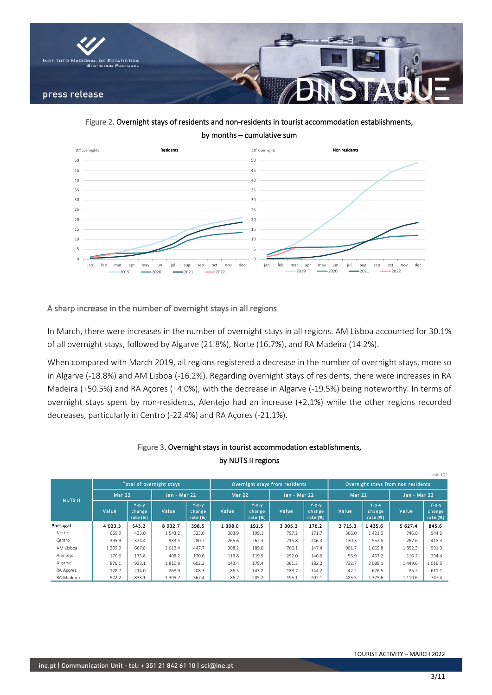

Figure 2. Overnight stays of residents and non-residents in tourist accommodation establishments, by months – cumulative sum



### A sharp increase in the number of overnight stays in all regions

In March, there were increases in the number of overnight stays in all regions. AM Lisboa accounted for 30.1% of all overnight stays, followed by Algarve (21.8%), Norte (16.7%), and RA Madeira (14.2%).

When compared with March 2019, all regions registered a decrease in the number of overnight stays, more so in Algarve (-18.8%) and AM Lisboa (-16.2%). Regarding overnight stays of residents, there were increases in RA Madeira (+50.5%) and RA Açores (+4.0%), with the decrease in Algarve (-19.5%) being noteworthy. In terms of overnight stays spent by non-residents, Alentejo had an increase (+2.1%) while the other regions recorded decreases, particularly in Centro (-22.4%) and RA Açores (-21.1%).

|                |               |                                  |                          |                                  |               |                                  |                                |                                   |                                    |                                     |              | -------                              |  |  |
|----------------|---------------|----------------------------------|--------------------------|----------------------------------|---------------|----------------------------------|--------------------------------|-----------------------------------|------------------------------------|-------------------------------------|--------------|--------------------------------------|--|--|
|                |               |                                  | Total of overnight stays |                                  |               |                                  | Overnight stays from residents |                                   | Overnight stays from non residents |                                     |              |                                      |  |  |
| <b>NUTS II</b> | <b>Mar 22</b> |                                  | <b>Jan - Mar 22</b>      |                                  | <b>Mar 22</b> |                                  | Jan - Mar 22                   |                                   | <b>Mar 22</b>                      |                                     | Jan - Mar 22 |                                      |  |  |
|                | Value         | $Y$ -o-y<br>change<br>rate $(%)$ | Value                    | $Y$ -o-y<br>change<br>rate $(%)$ | Value         | $Y$ -o-y<br>change<br>rate $(%)$ | Value                          | $Y$ -o-y<br>change<br>rate $(% )$ | Value                              | $Y$ -o- $Y$<br>change<br>rate $(%)$ | Value        | $Y$ -o- $Y$<br>change<br>rate $(% )$ |  |  |
| Portugal       | 4 0 2 3 . 3   | 543.2                            | 8932.7                   | 398.5                            | 1 308.0       | 191.5                            | 3 3 0 5 . 2                    | 176.2                             | 2 7 1 5 . 3                        | 1435.6                              | 5 627.4      | 845.6                                |  |  |
| Norte          | 669.9         | 433.0                            | 1543.2                   | 323.0                            | 303.9         | 199.1                            | 797.2                          | 171.7                             | 366.0                              | 1421.0                              | 746.0        | 944.2                                |  |  |
| Centro         | 395.9         | 324.4                            | 983.5                    | 280.7                            | 265.6         | 262.3                            | 715.8                          | 246.3                             | 130.3                              | 552.8                               | 267.6        | 418.3                                |  |  |
| AM Lisboa      | 1 209.9       | 667.8                            | 2 6 1 2.4                | 447.7                            | 308.2         | 189.0                            | 760.1                          | 147.4                             | 901.7                              | 1669.8                              | 1852.3       | 991.3                                |  |  |
| Alentejo       | 170.6         | 175.8                            | 408.2                    | 170.6                            | 113.8         | 119.5                            | 292.0                          | 140.6                             | 56.9                               | 467.2                               | 116.2        | 294.4                                |  |  |
| Algarve        | 876.1         | 933.1                            | 1810.8                   | 602.2                            | 143.4         | 179.4                            | 361.3                          | 182.2                             | 732.7                              | 2 0 8 8.1                           | 1449.6       | 1 0 1 6.5                            |  |  |
| RA Acores      | 128.7         | 214.0                            | 268.9                    | 208.3                            | 86.5          | 143.2                            | 183.7                          | 144.2                             | 42.2                               | 676.5                               | 85.2         | 611.1                                |  |  |
| RA Madeira     | 572.2         | 833.1                            | 1 3 0 5 .7               | 567.4                            | 86.7          | 205.2                            | 195.1                          | 202.1                             | 485.5                              | 1 375.6                             | 1 1 1 0 . 6  | 747.4                                |  |  |

### Figure 3. Overnight stays in tourist accommodation establishments, by NUTS II regions

 $U_0 + 10^3$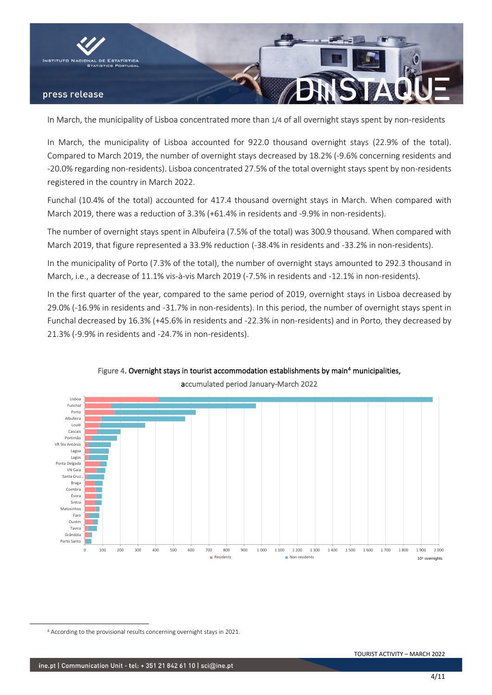

In March, the municipality of Lisboa concentrated more than 1/4 of all overnight stays spent by non-residents

In March, the municipality of Lisboa accounted for 922.0 thousand overnight stays (22.9% of the total). Compared to March 2019, the number of overnight stays decreased by 18.2% (-9.6% concerning residents and -20.0% regarding non-residents). Lisboa concentrated 27.5% of the total overnight stays spent by non-residents registered in the country in March 2022.

Funchal (10.4% of the total) accounted for 417.4 thousand overnight stays in March. When compared with March 2019, there was a reduction of 3.3% (+61.4% in residents and -9.9% in non-residents).

The number of overnight stays spent in Albufeira (7.5% of the total) was 300.9 thousand. When compared with March 2019, that figure represented a 33.9% reduction (-38.4% in residents and -33.2% in non-residents).

In the municipality of Porto (7.3% of the total), the number of overnight stays amounted to 292.3 thousand in March, i.e., a decrease of 11.1% vis-à-vis March 2019 (-7.5% in residents and -12.1% in non-residents).

In the first quarter of the year, compared to the same period of 2019, overnight stays in Lisboa decreased by 29.0% (-16.9% in residents and -31.7% in non-residents). In this period, the number of overnight stays spent in Funchal decreased by 16.3% (+45.6% in residents and -22.3% in non-residents) and in Porto, they decreased by 21.3% (-9.9% in residents and -24.7% in non-residents).



# Figure 4. Overnight stays in tourist accommodation establishments by main<sup>4</sup> municipalities,

<sup>4</sup> According to the provisional results concerning overnight stays in 2021.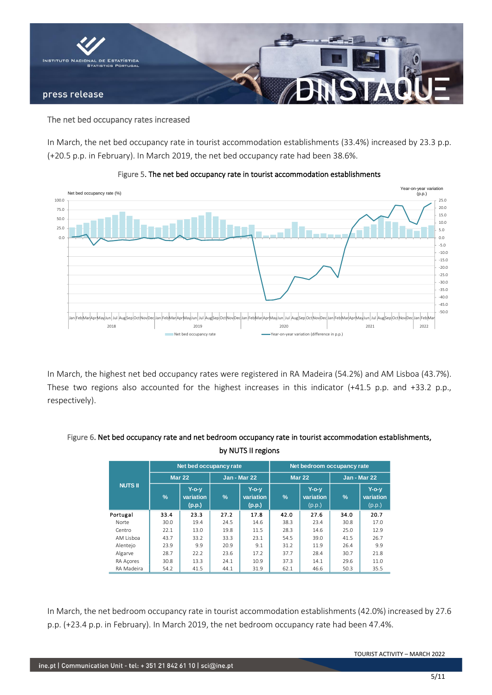

#### The net bed occupancy rates increased

In March, the net bed occupancy rate in tourist accommodation establishments (33.4%) increased by 23.3 p.p. (+20.5 p.p. in February). In March 2019, the net bed occupancy rate had been 38.6%.



#### Figure 5. The net bed occupancy rate in tourist accommodation establishments

In March, the highest net bed occupancy rates were registered in RA Madeira (54.2%) and AM Lisboa (43.7%). These two regions also accounted for the highest increases in this indicator (+41.5 p.p. and +33.2 p.p., respectively).

|                |               | Net bed occupancy rate          |               |                                     | Net bedroom occupancy rate |                                 |               |                                 |  |  |  |
|----------------|---------------|---------------------------------|---------------|-------------------------------------|----------------------------|---------------------------------|---------------|---------------------------------|--|--|--|
| <b>NUTS II</b> |               | <b>Mar 22</b>                   |               | Jan - Mar 22                        |                            | Mar $22$                        | Jan - Mar 22  |                                 |  |  |  |
|                | $\frac{9}{6}$ | $Y$ -o-v<br>variation<br>(p.p.) | $\frac{9}{6}$ | <b>Y-o-y</b><br>variation<br>(p.p.) | $\%$                       | $Y$ -o-y<br>variation<br>(p.p.) | $\frac{9}{6}$ | $Y$ -o-v<br>variation<br>(p.p.) |  |  |  |
| Portugal       | 33.4          | 23.3                            | 27.2          | 17.8                                | 42.0                       | 27.6                            | 34.0          | 20.7                            |  |  |  |
| Norte          | 30.0          | 19.4                            | 24.5          | 14.6                                | 38.3                       | 23.4                            | 30.8          | 17.0                            |  |  |  |
| Centro         | 22.1          | 13.0                            | 19.8          | 11.5                                | 28.3                       | 14.6                            | 25.0          | 12.9                            |  |  |  |
| AM Lisboa      | 43.7          | 33.2                            | 33.3          | 23.1                                | 54.5                       | 39.0                            | 41.5          | 26.7                            |  |  |  |
| Alentejo       | 23.9          | 9.9                             | 20.9          | 9.1                                 | 31.2                       | 11.9                            | 26.4          | 9.9                             |  |  |  |
| Algarve        | 28.7          | 22.2                            | 23.6          | 17.2                                | 37.7                       | 28.4                            | 30.7          | 21.8                            |  |  |  |
| RA Acores      | 30.8          | 13.3                            | 24.1          | 10.9                                | 37.3                       | 14.1                            | 29.6          | 11.0                            |  |  |  |
| RA Madeira     | 54.2          | 41.5                            | 44.1          | 31.9                                | 62.1                       | 46.6                            | 50.3          | 35.5                            |  |  |  |

### Figure 6. Net bed occupancy rate and net bedroom occupancy rate in tourist accommodation establishments, by NUTS II regions

In March, the net bedroom occupancy rate in tourist accommodation establishments (42.0%) increased by 27.6 p.p. (+23.4 p.p. in February). In March 2019, the net bedroom occupancy rate had been 47.4%.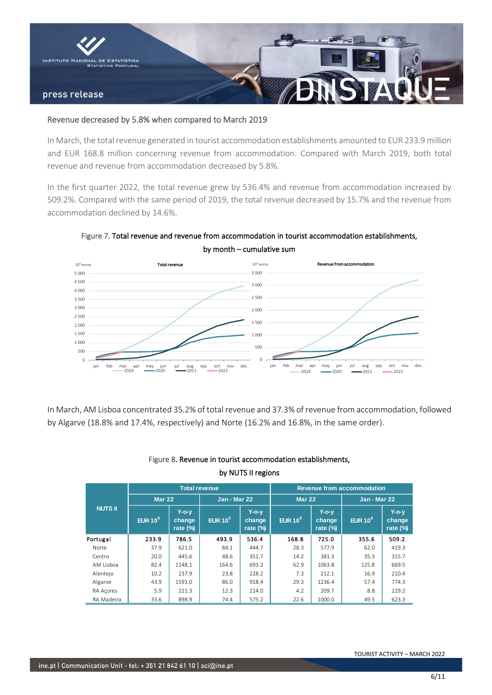

#### Revenue decreased by 5.8% when compared to March 2019

In March, the total revenue generated in tourist accommodation establishments amounted to EUR 233.9 million and EUR 168.8 million concerning revenue from accommodation. Compared with March 2019, both total revenue and revenue from accommodation decreased by 5.8%.

In the first quarter 2022, the total revenue grew by 536.4% and revenue from accommodation increased by 509.2%. Compared with the same period of 2019, the total revenue decreased by 15.7% and the revenue from accommodation declined by 14.6%.



Figure 7. Total revenue and revenue from accommodation in tourist accommodation establishments, by month – cumulative sum

In March, AM Lisboa concentrated 35.2% of total revenue and 37.3% of revenue from accommodation, followed by Algarve (18.8% and 17.4%, respectively) and Norte (16.2% and 16.8%, in the same order).

|                |               |                                       | <b>Total revenue</b> |                                   | <b>Revenue from accommodation</b> |                                   |              |                                   |  |  |  |
|----------------|---------------|---------------------------------------|----------------------|-----------------------------------|-----------------------------------|-----------------------------------|--------------|-----------------------------------|--|--|--|
| <b>NUTS II</b> | <b>Mar 22</b> |                                       | Jan - Mar 22         |                                   | <b>Mar 22</b>                     |                                   | Jan - Mar 22 |                                   |  |  |  |
|                | EUR $10^6$    | <b>Y-o-y</b><br>change<br>rate $(\%)$ | EUR $10^6$           | $Y$ -o-v<br>change<br>rate $(\%)$ | EUR $10^6$                        | $Y$ -o-v<br>change<br>rate $(\%)$ | EUR $10^6$   | $Y$ -o-v<br>change<br>rate $(\%)$ |  |  |  |
| Portugal       | 233.9         | 786.5                                 | 493.9                | 536.4                             | 168.8                             | 725.0                             | 355.6        | 509.2                             |  |  |  |
| Norte          | 37.9          | 621.0                                 | 84.1                 | 444.7                             | 28.3                              | 577.9                             | 62.0         | 419.3                             |  |  |  |
| Centro         | 20.0          | 445.6                                 | 48.6                 | 351.7                             | 14.2                              | 381.3                             | 35.3         | 315.7                             |  |  |  |
| AM Lisboa      | 82.4          | 1148.1                                | 164.6                | 693.2                             | 62.9                              | 1063.8                            | 125.8        | 669.5                             |  |  |  |
| Alentejo       | 10.2          | 237.9                                 | 23.8                 | 228.2                             | 7.3                               | 212.1                             | 16.9         | 210.4                             |  |  |  |
| Algarve        | 43.9          | 1591.0                                | 86.0                 | 918.4                             | 29.3                              | 1236.4                            | 57.4         | 774.3                             |  |  |  |
| RA Acores      | 5.9           | 211.3                                 | 12.3                 | 214.0                             | 4.2                               | 209.7                             | 8.8          | 219.2                             |  |  |  |
| RA Madeira     | 33.6          | 898.9                                 | 74.4                 | 575.2                             | 22.6                              | 1000.0                            | 49.5         | 623.3                             |  |  |  |

## Figure 8. Revenue in tourist accommodation establishments, by NUTS II regions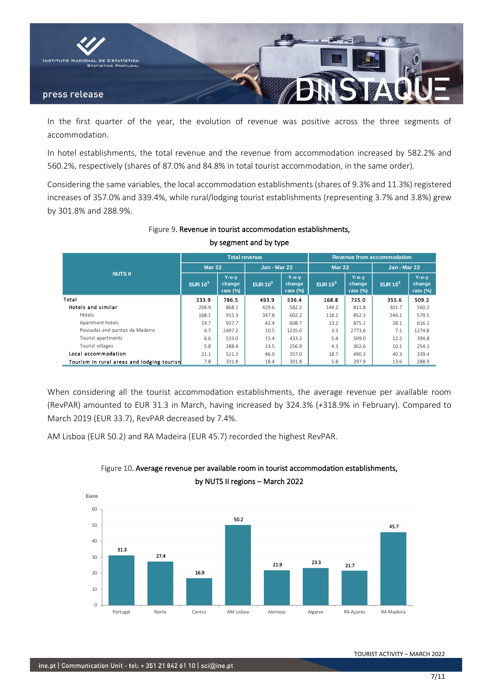

In the first quarter of the year, the evolution of revenue was positive across the three segments of accommodation.

In hotel establishments, the total revenue and the revenue from accommodation increased by 582.2% and 560.2%, respectively (shares of 87.0% and 84.8% in total tourist accommodation, in the same order).

Considering the same variables, the local accommodation establishments (shares of 9.3% and 11.3%) registered increases of 357.0% and 339.4%, while rural/lodging tourist establishments (representing 3.7% and 3.8%) grew by 301.8% and 288.9%.

|                                            |               |                                   | <b>Total revenue</b> |                                   | <b>Revenue from accommodation</b> |                                |                     |                                |  |  |  |
|--------------------------------------------|---------------|-----------------------------------|----------------------|-----------------------------------|-----------------------------------|--------------------------------|---------------------|--------------------------------|--|--|--|
|                                            | <b>Mar 22</b> |                                   | <b>Jan - Mar 22</b>  |                                   | <b>Mar 22</b>                     |                                | <b>Jan - Mar 22</b> |                                |  |  |  |
| <b>NUTS II</b>                             | EUR $10^6$    | $Y$ -o-y<br>change<br>rate $(\%)$ | EUR $10^6$           | $Y$ -o-y<br>change<br>rate $(\%)$ | EUR $10^6$                        | $Y$ -o-y<br>change<br>rate (%) | EUR $10^6$          | $Y$ -o-y<br>change<br>rate (%) |  |  |  |
| Total                                      | 233.9         | 786.5                             | 493.9                | 536.4                             | 168.8                             | 725.0                          | 355.6               | 509.2                          |  |  |  |
| Hotels and similar                         | 204.9         | 868.1                             | 429.6                | 582.2                             | 144.2                             | 811.8                          | 301.7               | 560.2                          |  |  |  |
| <b>Hotels</b>                              | 168.1         | 915.3                             | 347.8                | 602.2                             | 118.1                             | 852.3                          | 244.1               | 579.5                          |  |  |  |
| Apartment hotels                           | 19.7          | 937.7                             | 42.4                 | 608.7                             | 13.2                              | 875.1                          | 28.1                | 616.1                          |  |  |  |
| Pousadas and quintas da Madeira            | 4.7           | 2497.2                            | 10.5                 | 1235.0                            | 3.3                               | 2773.6                         | 7.1                 | 1274.8                         |  |  |  |
| Tourist apartments                         | 6.6           | 533.0                             | 15.4                 | 433.2                             | 5.4                               | 509.0                          | 12.2                | 394.8                          |  |  |  |
| Tourist villages                           | 5.8           | 288.4                             | 13.5                 | 256.9                             | 4.3                               | 302.6                          | 10.1                | 254.1                          |  |  |  |
| Local accommodation                        | 21.1          | 521.3                             | 46.0                 | 357.0                             | 18.7                              | 490.3                          | 40.3                | 339.4                          |  |  |  |
| Tourism in rural areas and lodging tourism | 7.8           | 331.8                             | 18.4                 | 301.8                             | 5.8                               | 297.9                          | 13.6                | 288.9                          |  |  |  |

Figure 9. Revenue in tourist accommodation establishments,

by segment and by type

When considering all the tourist accommodation establishments, the average revenue per available room (RevPAR) amounted to EUR 31.3 in March, having increased by 324.3% (+318.9% in February). Compared to March 2019 (EUR 33.7), RevPAR decreased by 7.4%.

AM Lisboa (EUR 50.2) and RA Madeira (EUR 45.7) recorded the highest RevPAR.



## Figure 10. Average revenue per available room in tourist accommodation establishments, by NUTS II regions – March 2022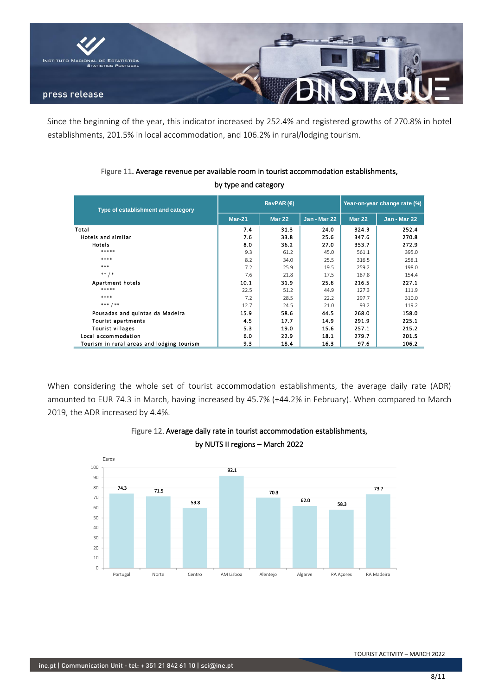

Since the beginning of the year, this indicator increased by 252.4% and registered growths of 270.8% in hotel establishments, 201.5% in local accommodation, and 106.2% in rural/lodging tourism.

| Type of establishment and category         |          | RevPAR(E)     | Year-on-year change rate (%) |               |              |  |
|--------------------------------------------|----------|---------------|------------------------------|---------------|--------------|--|
|                                            | $Mar-21$ | <b>Mar 22</b> | <b>Jan - Mar 22</b>          | <b>Mar 22</b> | Jan - Mar 22 |  |
| Total                                      | 7.4      | 31.3          | 24.0                         | 324.3         | 252.4        |  |
| Hotels and similar                         | 7.6      | 33.8          | 25.6                         | 347.6         | 270.8        |  |
| Hotels                                     | 8.0      | 36.2          | 27.0                         | 353.7         | 272.9        |  |
| $*****$                                    | 9.3      | 61.2          | 45.0                         | 561.1         | 395.0        |  |
| ****                                       | 8.2      | 34.0          | 25.5                         | 316.5         | 258.1        |  |
| ***                                        | 7.2      | 25.9          | 19.5                         | 259.2         | 198.0        |  |
| $***$ / *                                  | 7.6      | 21.8          | 17.5                         | 187.8         | 154.4        |  |
| Apartment hotels                           | 10.1     | 31.9          | 25.6                         | 216.5         | 227.1        |  |
| *****                                      | 22.5     | 51.2          | 44.9                         | 127.3         | 111.9        |  |
| ****                                       | 7.2      | 28.5          | 22.2                         | 297.7         | 310.0        |  |
| *** / **                                   | 12.7     | 24.5          | 21.0                         | 93.2          | 119.2        |  |
| Pousadas and quintas da Madeira            | 15.9     | 58.6          | 44.5                         | 268.0         | 158.0        |  |
| <b>Tourist apartments</b>                  | 4.5      | 17.7          | 14.9                         | 291.9         | 225.1        |  |
| <b>Tourist villages</b>                    | 5.3      | 19.0          | 15.6                         | 257.1         | 215.2        |  |
| Local accommodation                        | 6.0      | 22.9          | 18.1                         | 279.7         | 201.5        |  |
| Tourism in rural areas and lodging tourism | 9.3      | 18.4          | 16.3                         | 97.6          | 106.2        |  |

### Figure 11. Average revenue per available room in tourist accommodation establishments, by type and category

When considering the whole set of tourist accommodation establishments, the average daily rate (ADR) amounted to EUR 74.3 in March, having increased by 45.7% (+44.2% in February). When compared to March 2019, the ADR increased by 4.4%.



### Figure 12. Average daily rate in tourist accommodation establishments, by NUTS II regions – March 2022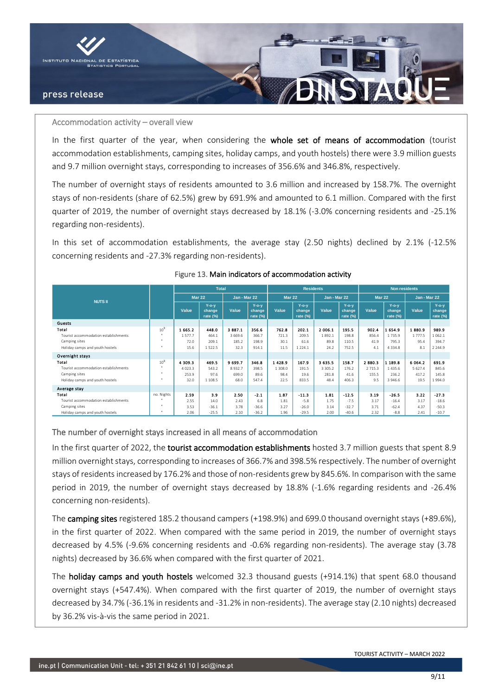

#### Accommodation activity – overall view

In the first quarter of the year, when considering the whole set of means of accommodation (tourist accommodation establishments, camping sites, holiday camps, and youth hostels) there were 3.9 million guests and 9.7 million overnight stays, corresponding to increases of 356.6% and 346.8%, respectively.

The number of overnight stays of residents amounted to 3.6 million and increased by 158.7%. The overnight stays of non-residents (share of 62.5%) grew by 691.9% and amounted to 6.1 million. Compared with the first quarter of 2019, the number of overnight stays decreased by 18.1% (-3.0% concerning residents and -25.1% regarding non-residents).

In this set of accommodation establishments, the average stay (2.50 nights) declined by 2.1% (-12.5% concerning residents and -27.3% regarding non-residents).

|                                      |                      |               | <b>Total</b>                   |              |                                | <b>Residents</b> |                                |              | <b>Non residents</b>           |               |                                |              |                                |
|--------------------------------------|----------------------|---------------|--------------------------------|--------------|--------------------------------|------------------|--------------------------------|--------------|--------------------------------|---------------|--------------------------------|--------------|--------------------------------|
| <b>NUTS II</b>                       |                      | <b>Mar 22</b> |                                | Jan - Mar 22 |                                | <b>Mar 22</b>    |                                | Jan - Mar 22 |                                | <b>Mar 22</b> |                                | Jan - Mar 22 |                                |
|                                      |                      | Value         | $Y$ -o-y<br>change<br>rate (%) | Value        | $Y$ -o-y<br>change<br>rate (%) | Value            | $Y$ -o-y<br>change<br>rate (%) | Value        | $Y$ -o-y<br>change<br>rate (%) | Value         | $Y$ -o-y<br>change<br>rate (%) | Value        | $Y$ -o-y<br>change<br>rate (%) |
| Guests                               |                      |               |                                |              |                                |                  |                                |              |                                |               |                                |              |                                |
| Total                                | 10 <sup>3</sup>      | 1 665 2       | 448.0                          | 3887.1       | 356.6                          | 7628             | 202.1                          | 2 006.1      | 195.5                          | 902.4         | 1654.9                         | 1880.9       | 989.9                          |
| Tourist accommodation establishments | $\mathbf{u}$         | 1577.7        | 464.1                          | 3 6 6 9 . 6  | 366.7                          | 721.3            | 209.5                          | 1892.1       | 198.8                          | 856.4         | 1735.9                         | 1 7 7 7 5    | 1.062.1                        |
| Camping sites                        | $\mathbf{u}$         | 72.0          | 209.1                          | 185.2        | 198.9                          | 30.1             | 61.6                           | 89.8         | 110.5                          | 41.9          | 795.3                          | 95.4         | 394.7                          |
| Holiday camps and youth hostels      | $\mathbf{u}$         | 15.6          | 1522.5                         | 32.3         | 914.1                          | 11.5             | 1 2 2 4 . 1                    | 24.2         | 752.5                          | 4.1           | 4 3 3 4 . 8                    | 8.1          | 2 2 4 4 9                      |
| Overnight stays                      |                      |               |                                |              |                                |                  |                                |              |                                |               |                                |              |                                |
| Total                                | $10^{3}$             | 4 309.3       | 469.5                          | 9 699.7      | 346.8                          | 1428.9           | 167.9                          | 3 635.5      | 158.7                          | 2880.3        | 1 189.8                        | 6 0 64.2     | 691.9                          |
| Tourist accommodation establishments | - 11                 | 4 0 2 3 . 3   | 543.2                          | 8932.7       | 398.5                          | 1 308.0          | 191.5                          | 3 3 0 5 . 2  | 176.2                          | 2 7 1 5 . 3   | 1435.6                         | 5 627.4      | 845.6                          |
| Camping sites                        | ×                    | 253.9         | 97.6                           | 699.0        | 89.6                           | 98.4             | 19.6                           | 281.8        | 41.6                           | 155.5         | 236.2                          | 417.2        | 145.8                          |
| Holiday camps and youth hostels      | <b>H</b>             | 32.0          | 1 108.5                        | 68.0         | 547.4                          | 22.5             | 833.5                          | 48.4         | 406.3                          | 9.5           | 3 946.6                        | 19.5         | 1994.0                         |
| Average stay                         |                      |               |                                |              |                                |                  |                                |              |                                |               |                                |              |                                |
| Total                                | no. Nights           | 2.59          | 3.9                            | 2.50         | $-2.1$                         | 1.87             | $-11.3$                        | 1.81         | $-12.5$                        | 3.19          | $-26.5$                        | 3.22         | $-27.3$                        |
| Tourist accommodation establishments |                      | 2.55          | 14.0                           | 2.43         | 6.8                            | 1.81             | $-5.8$                         | 1.75         | $-7.5$                         | 3.17          | $-16.4$                        | 3.17         | $-18.6$                        |
| Camping sites                        | $\ddot{\phantom{1}}$ | 3.53          | $-36.1$                        | 3.78         | $-36.6$                        | 3.27             | $-26.0$                        | 3.14         | $-32.7$                        | 3.71          | $-62.4$                        | 4.37         | $-50.3$                        |
| Holiday camps and youth hostels      | $\mathbf{u}$         | 2.06          | $-25.5$                        | 2.10         | $-36.2$                        | 1.96             | $-29.5$                        | 2.00         | $-40.6$                        | 2.32          | $-8.8$                         | 2.41         | $-10.7$                        |

#### Figure 13. Main indicators of accommodation activity

The number of overnight stays increased in all means of accommodation

In the first quarter of 2022, the tourist accommodation establishments hosted 3.7 million guests that spent 8.9 million overnight stays, corresponding to increases of 366.7% and 398.5% respectively. The number of overnight stays of residents increased by 176.2% and those of non-residents grew by 845.6%. In comparison with the same period in 2019, the number of overnight stays decreased by 18.8% (-1.6% regarding residents and -26.4% concerning non-residents).

The camping sites registered 185.2 thousand campers (+198.9%) and 699.0 thousand overnight stays (+89.6%), in the first quarter of 2022. When compared with the same period in 2019, the number of overnight stays decreased by 4.5% (-9.6% concerning residents and -0.6% regarding non-residents). The average stay (3.78 nights) decreased by 36.6% when compared with the first quarter of 2021.

The holiday camps and youth hostels welcomed 32.3 thousand guests (+914.1%) that spent 68.0 thousand overnight stays (+547.4%). When compared with the first quarter of 2019, the number of overnight stays decreased by 34.7% (-36.1% in residents and -31.2% in non-residents). The average stay (2.10 nights) decreased by 36.2% vis-à-vis the same period in 2021.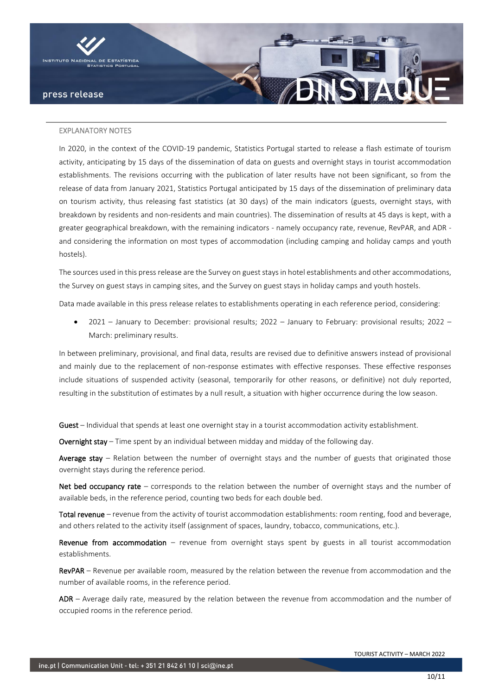

#### EXPLANATORY NOTES

In 2020, in the context of the COVID-19 pandemic, Statistics Portugal started to release a flash estimate of tourism activity, anticipating by 15 days of the dissemination of data on guests and overnight stays in tourist accommodation establishments. The revisions occurring with the publication of later results have not been significant, so from the release of data from January 2021, Statistics Portugal anticipated by 15 days of the dissemination of preliminary data on tourism activity, thus releasing fast statistics (at 30 days) of the main indicators (guests, overnight stays, with breakdown by residents and non-residents and main countries). The dissemination of results at 45 days is kept, with a greater geographical breakdown, with the remaining indicators - namely occupancy rate, revenue, RevPAR, and ADR and considering the information on most types of accommodation (including camping and holiday camps and youth hostels).

The sources used in this press release are the Survey on guest stays in hotel establishments and other accommodations, the Survey on guest stays in camping sites, and the Survey on guest stays in holiday camps and youth hostels.

Data made available in this press release relates to establishments operating in each reference period, considering:

• 2021 – January to December: provisional results; 2022 – January to February: provisional results; 2022 – March: preliminary results.

In between preliminary, provisional, and final data, results are revised due to definitive answers instead of provisional and mainly due to the replacement of non-response estimates with effective responses. These effective responses include situations of suspended activity (seasonal, temporarily for other reasons, or definitive) not duly reported, resulting in the substitution of estimates by a null result, a situation with higher occurrence during the low season.

Guest – Individual that spends at least one overnight stay in a tourist accommodation activity establishment.

Overnight stay – Time spent by an individual between midday and midday of the following day.

Average stay – Relation between the number of overnight stays and the number of guests that originated those overnight stays during the reference period.

Net bed occupancy rate – corresponds to the relation between the number of overnight stays and the number of available beds, in the reference period, counting two beds for each double bed.

Total revenue – revenue from the activity of tourist accommodation establishments: room renting, food and beverage, and others related to the activity itself (assignment of spaces, laundry, tobacco, communications, etc.).

Revenue from accommodation  $-$  revenue from overnight stays spent by guests in all tourist accommodation establishments.

RevPAR – Revenue per available room, measured by the relation between the revenue from accommodation and the number of available rooms, in the reference period.

ADR – Average daily rate, measured by the relation between the revenue from accommodation and the number of occupied rooms in the reference period.